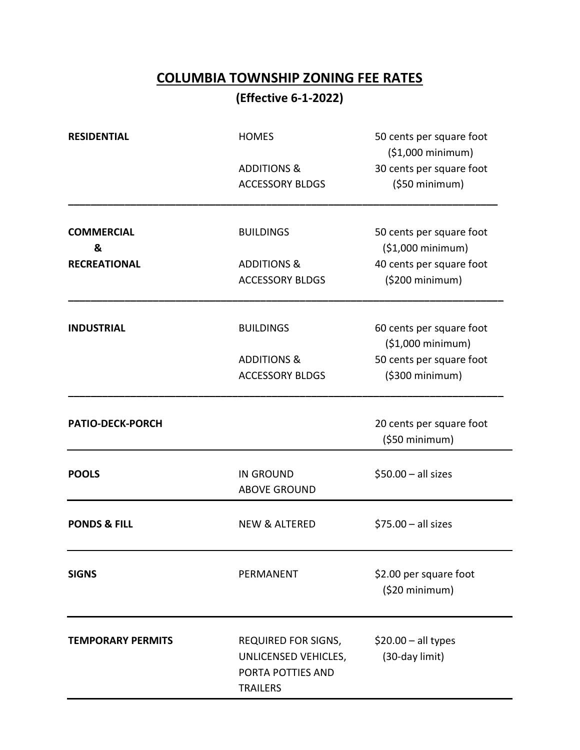## COLUMBIA TOWNSHIP ZONING FEE RATES

## (Effective 6-1-2022)

| <b>RESIDENTIAL</b>       | <b>HOMES</b>                                                                        | 50 cents per square foot<br>(\$1,000 minimum)     |  |
|--------------------------|-------------------------------------------------------------------------------------|---------------------------------------------------|--|
|                          | <b>ADDITIONS &amp;</b>                                                              | 30 cents per square foot                          |  |
|                          | <b>ACCESSORY BLDGS</b>                                                              | (550 minimum)                                     |  |
| <b>COMMERCIAL</b><br>&   | <b>BUILDINGS</b>                                                                    | 50 cents per square foot<br>$(51,000$ minimum)    |  |
| <b>RECREATIONAL</b>      | <b>ADDITIONS &amp;</b>                                                              | 40 cents per square foot                          |  |
|                          | <b>ACCESSORY BLDGS</b>                                                              | (\$200 minimum)                                   |  |
| <b>INDUSTRIAL</b>        | <b>BUILDINGS</b>                                                                    | 60 cents per square foot<br>$(51,000$ minimum)    |  |
|                          | <b>ADDITIONS &amp;</b>                                                              | 50 cents per square foot                          |  |
|                          | <b>ACCESSORY BLDGS</b>                                                              | (5300 minimum)                                    |  |
| <b>PATIO-DECK-PORCH</b>  |                                                                                     | 20 cents per square foot<br>(\$50 minimum)        |  |
| <b>POOLS</b>             | <b>IN GROUND</b><br><b>ABOVE GROUND</b>                                             | $$50.00 - all sizes$                              |  |
| <b>PONDS &amp; FILL</b>  | <b>NEW &amp; ALTERED</b>                                                            | $$75.00 - all sizes$                              |  |
| <b>SIGNS</b>             | PERMANENT                                                                           | \$2.00 per square foot<br>$(520 \text{ minimum})$ |  |
| <b>TEMPORARY PERMITS</b> | REQUIRED FOR SIGNS,<br>UNLICENSED VEHICLES,<br>PORTA POTTIES AND<br><b>TRAILERS</b> | $$20.00 - all types$<br>(30-day limit)            |  |